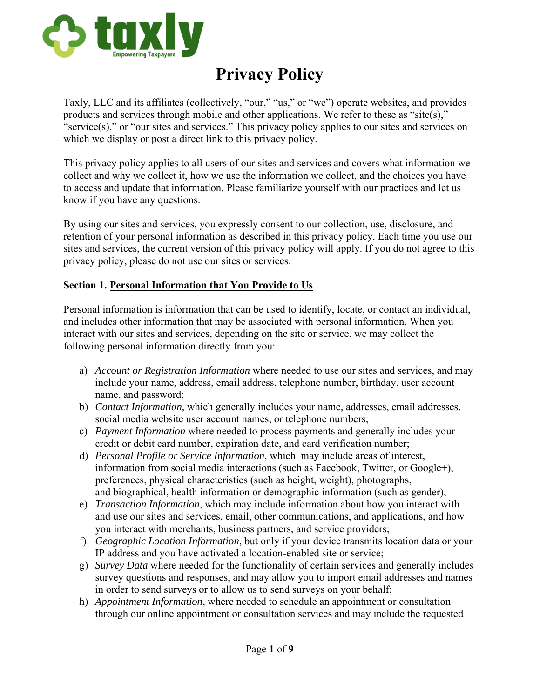

# **Privacy Policy**

Taxly, LLC and its affiliates (collectively, "our," "us," or "we") operate websites, and provides products and services through mobile and other applications. We refer to these as "site(s)," "service(s)," or "our sites and services." This privacy policy applies to our sites and services on which we display or post a direct link to this privacy policy.

This privacy policy applies to all users of our sites and services and covers what information we collect and why we collect it, how we use the information we collect, and the choices you have to access and update that information. Please familiarize yourself with our practices and let us know if you have any questions.

By using our sites and services, you expressly consent to our collection, use, disclosure, and retention of your personal information as described in this privacy policy. Each time you use our sites and services, the current version of this privacy policy will apply. If you do not agree to this privacy policy, please do not use our sites or services.

#### **Section 1. Personal Information that You Provide to Us**

Personal information is information that can be used to identify, locate, or contact an individual, and includes other information that may be associated with personal information. When you interact with our sites and services, depending on the site or service, we may collect the following personal information directly from you:

- a) *Account or Registration Information* where needed to use our sites and services, and may include your name, address, email address, telephone number, birthday, user account name, and password;
- b) *Contact Information*, which generally includes your name, addresses, email addresses, social media website user account names, or telephone numbers;
- c) *Payment Information* where needed to process payments and generally includes your credit or debit card number, expiration date, and card verification number;
- d) *Personal Profile or Service Information*, which may include areas of interest, information from social media interactions (such as Facebook, Twitter, or Google+), preferences, physical characteristics (such as height, weight), photographs, and biographical, health information or demographic information (such as gender);
- e) *Transaction Information*, which may include information about how you interact with and use our sites and services, email, other communications, and applications, and how you interact with merchants, business partners, and service providers;
- f) *Geographic Location Information*, but only if your device transmits location data or your IP address and you have activated a location-enabled site or service;
- g) *Survey Data* where needed for the functionality of certain services and generally includes survey questions and responses, and may allow you to import email addresses and names in order to send surveys or to allow us to send surveys on your behalf;
- h) *Appointment Information*, where needed to schedule an appointment or consultation through our online appointment or consultation services and may include the requested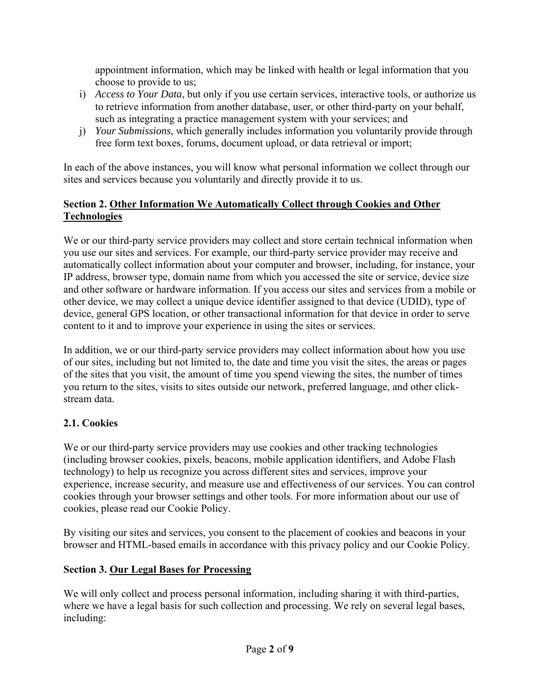appointment information, which may be linked with health or legal information that you choose to provide to us;

- i) *Access to Your Data*, but only if you use certain services, interactive tools, or authorize us to retrieve information from another database, user, or other third-party on your behalf, such as integrating a practice management system with your services; and
- j) *Your Submissions*, which generally includes information you voluntarily provide through free form text boxes, forums, document upload, or data retrieval or import;

In each of the above instances, you will know what personal information we collect through our sites and services because you voluntarily and directly provide it to us.

# **Section 2. Other Information We Automatically Collect through Cookies and Other Technologies**

We or our third-party service providers may collect and store certain technical information when you use our sites and services. For example, our third-party service provider may receive and automatically collect information about your computer and browser, including, for instance, your IP address, browser type, domain name from which you accessed the site or service, device size and other software or hardware information. If you access our sites and services from a mobile or other device, we may collect a unique device identifier assigned to that device (UDID), type of device, general GPS location, or other transactional information for that device in order to serve content to it and to improve your experience in using the sites or services.

In addition, we or our third-party service providers may collect information about how you use of our sites, including but not limited to, the date and time you visit the sites, the areas or pages of the sites that you visit, the amount of time you spend viewing the sites, the number of times you return to the sites, visits to sites outside our network, preferred language, and other clickstream data.

# **2.1. Cookies**

We or our third-party service providers may use cookies and other tracking technologies (including browser cookies, pixels, beacons, mobile application identifiers, and Adobe Flash technology) to help us recognize you across different sites and services, improve your experience, increase security, and measure use and effectiveness of our services. You can control cookies through your browser settings and other tools. For more information about our use of cookies, please read our Cookie Policy.

By visiting our sites and services, you consent to the placement of cookies and beacons in your browser and HTML-based emails in accordance with this privacy policy and our Cookie Policy.

# **Section 3. Our Legal Bases for Processing**

We will only collect and process personal information, including sharing it with third-parties, where we have a legal basis for such collection and processing. We rely on several legal bases, including: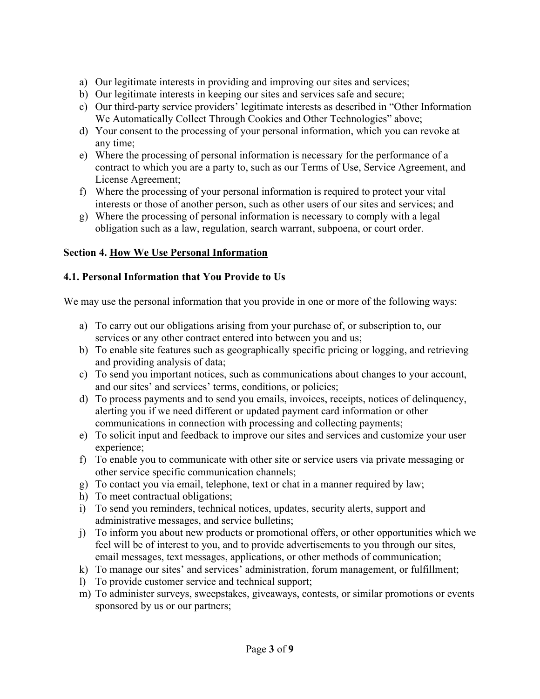- a) Our legitimate interests in providing and improving our sites and services;
- b) Our legitimate interests in keeping our sites and services safe and secure;
- c) Our third-party service providers' legitimate interests as described in "Other Information We Automatically Collect Through Cookies and Other Technologies" above;
- d) Your consent to the processing of your personal information, which you can revoke at any time;
- e) Where the processing of personal information is necessary for the performance of a contract to which you are a party to, such as our Terms of Use, Service Agreement, and License Agreement;
- f) Where the processing of your personal information is required to protect your vital interests or those of another person, such as other users of our sites and services; and
- g) Where the processing of personal information is necessary to comply with a legal obligation such as a law, regulation, search warrant, subpoena, or court order.

#### **Section 4. How We Use Personal Information**

#### **4.1. Personal Information that You Provide to Us**

We may use the personal information that you provide in one or more of the following ways:

- a) To carry out our obligations arising from your purchase of, or subscription to, our services or any other contract entered into between you and us;
- b) To enable site features such as geographically specific pricing or logging, and retrieving and providing analysis of data;
- c) To send you important notices, such as communications about changes to your account, and our sites' and services' terms, conditions, or policies;
- d) To process payments and to send you emails, invoices, receipts, notices of delinquency, alerting you if we need different or updated payment card information or other communications in connection with processing and collecting payments;
- e) To solicit input and feedback to improve our sites and services and customize your user experience;
- f) To enable you to communicate with other site or service users via private messaging or other service specific communication channels;
- g) To contact you via email, telephone, text or chat in a manner required by law;
- h) To meet contractual obligations;
- i) To send you reminders, technical notices, updates, security alerts, support and administrative messages, and service bulletins;
- j) To inform you about new products or promotional offers, or other opportunities which we feel will be of interest to you, and to provide advertisements to you through our sites, email messages, text messages, applications, or other methods of communication;
- k) To manage our sites' and services' administration, forum management, or fulfillment;
- l) To provide customer service and technical support;
- m) To administer surveys, sweepstakes, giveaways, contests, or similar promotions or events sponsored by us or our partners;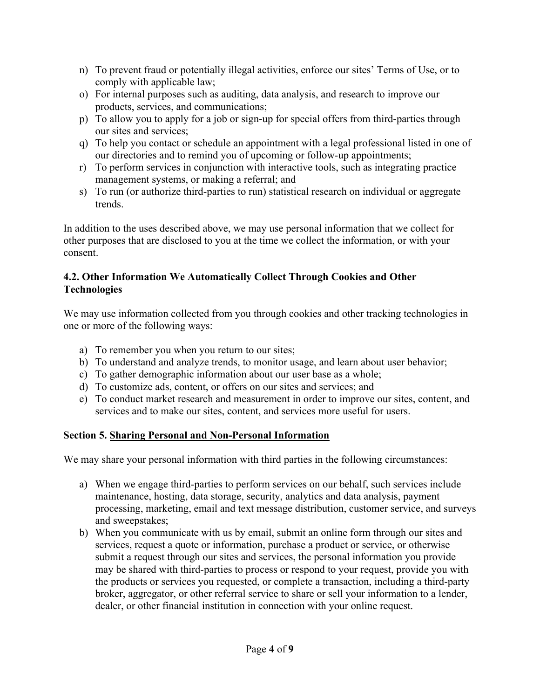- n) To prevent fraud or potentially illegal activities, enforce our sites' Terms of Use, or to comply with applicable law;
- o) For internal purposes such as auditing, data analysis, and research to improve our products, services, and communications;
- p) To allow you to apply for a job or sign-up for special offers from third-parties through our sites and services;
- q) To help you contact or schedule an appointment with a legal professional listed in one of our directories and to remind you of upcoming or follow-up appointments;
- r) To perform services in conjunction with interactive tools, such as integrating practice management systems, or making a referral; and
- s) To run (or authorize third-parties to run) statistical research on individual or aggregate trends.

In addition to the uses described above, we may use personal information that we collect for other purposes that are disclosed to you at the time we collect the information, or with your consent.

#### **4.2. Other Information We Automatically Collect Through Cookies and Other Technologies**

We may use information collected from you through cookies and other tracking technologies in one or more of the following ways:

- a) To remember you when you return to our sites;
- b) To understand and analyze trends, to monitor usage, and learn about user behavior;
- c) To gather demographic information about our user base as a whole;
- d) To customize ads, content, or offers on our sites and services; and
- e) To conduct market research and measurement in order to improve our sites, content, and services and to make our sites, content, and services more useful for users.

#### **Section 5. Sharing Personal and Non-Personal Information**

We may share your personal information with third parties in the following circumstances:

- a) When we engage third-parties to perform services on our behalf, such services include maintenance, hosting, data storage, security, analytics and data analysis, payment processing, marketing, email and text message distribution, customer service, and surveys and sweepstakes;
- b) When you communicate with us by email, submit an online form through our sites and services, request a quote or information, purchase a product or service, or otherwise submit a request through our sites and services, the personal information you provide may be shared with third-parties to process or respond to your request, provide you with the products or services you requested, or complete a transaction, including a third-party broker, aggregator, or other referral service to share or sell your information to a lender, dealer, or other financial institution in connection with your online request.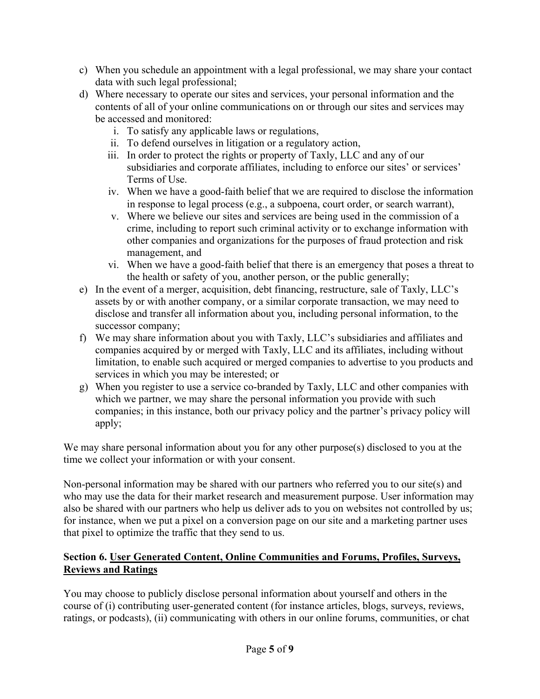- c) When you schedule an appointment with a legal professional, we may share your contact data with such legal professional;
- d) Where necessary to operate our sites and services, your personal information and the contents of all of your online communications on or through our sites and services may be accessed and monitored:
	- i. To satisfy any applicable laws or regulations,
	- ii. To defend ourselves in litigation or a regulatory action,
	- iii. In order to protect the rights or property of Taxly, LLC and any of our subsidiaries and corporate affiliates, including to enforce our sites' or services' Terms of Use.
	- iv. When we have a good-faith belief that we are required to disclose the information in response to legal process (e.g., a subpoena, court order, or search warrant),
	- v. Where we believe our sites and services are being used in the commission of a crime, including to report such criminal activity or to exchange information with other companies and organizations for the purposes of fraud protection and risk management, and
	- vi. When we have a good-faith belief that there is an emergency that poses a threat to the health or safety of you, another person, or the public generally;
- e) In the event of a merger, acquisition, debt financing, restructure, sale of Taxly, LLC's assets by or with another company, or a similar corporate transaction, we may need to disclose and transfer all information about you, including personal information, to the successor company;
- f) We may share information about you with Taxly, LLC's subsidiaries and affiliates and companies acquired by or merged with Taxly, LLC and its affiliates, including without limitation, to enable such acquired or merged companies to advertise to you products and services in which you may be interested; or
- g) When you register to use a service co-branded by Taxly, LLC and other companies with which we partner, we may share the personal information you provide with such companies; in this instance, both our privacy policy and the partner's privacy policy will apply;

We may share personal information about you for any other purpose(s) disclosed to you at the time we collect your information or with your consent.

Non-personal information may be shared with our partners who referred you to our site(s) and who may use the data for their market research and measurement purpose. User information may also be shared with our partners who help us deliver ads to you on websites not controlled by us; for instance, when we put a pixel on a conversion page on our site and a marketing partner uses that pixel to optimize the traffic that they send to us.

#### **Section 6. User Generated Content, Online Communities and Forums, Profiles, Surveys, Reviews and Ratings**

You may choose to publicly disclose personal information about yourself and others in the course of (i) contributing user-generated content (for instance articles, blogs, surveys, reviews, ratings, or podcasts), (ii) communicating with others in our online forums, communities, or chat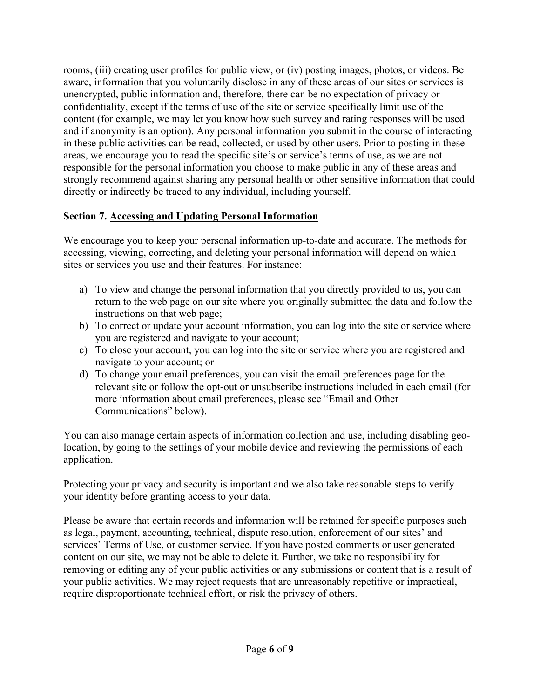rooms, (iii) creating user profiles for public view, or (iv) posting images, photos, or videos. Be aware, information that you voluntarily disclose in any of these areas of our sites or services is unencrypted, public information and, therefore, there can be no expectation of privacy or confidentiality, except if the terms of use of the site or service specifically limit use of the content (for example, we may let you know how such survey and rating responses will be used and if anonymity is an option). Any personal information you submit in the course of interacting in these public activities can be read, collected, or used by other users. Prior to posting in these areas, we encourage you to read the specific site's or service's terms of use, as we are not responsible for the personal information you choose to make public in any of these areas and strongly recommend against sharing any personal health or other sensitive information that could directly or indirectly be traced to any individual, including yourself.

#### **Section 7. Accessing and Updating Personal Information**

We encourage you to keep your personal information up-to-date and accurate. The methods for accessing, viewing, correcting, and deleting your personal information will depend on which sites or services you use and their features. For instance:

- a) To view and change the personal information that you directly provided to us, you can return to the web page on our site where you originally submitted the data and follow the instructions on that web page;
- b) To correct or update your account information, you can log into the site or service where you are registered and navigate to your account;
- c) To close your account, you can log into the site or service where you are registered and navigate to your account; or
- d) To change your email preferences, you can visit the email preferences page for the relevant site or follow the opt-out or unsubscribe instructions included in each email (for more information about email preferences, please see "Email and Other Communications" below).

You can also manage certain aspects of information collection and use, including disabling geolocation, by going to the settings of your mobile device and reviewing the permissions of each application.

Protecting your privacy and security is important and we also take reasonable steps to verify your identity before granting access to your data.

Please be aware that certain records and information will be retained for specific purposes such as legal, payment, accounting, technical, dispute resolution, enforcement of our sites' and services' Terms of Use, or customer service. If you have posted comments or user generated content on our site, we may not be able to delete it. Further, we take no responsibility for removing or editing any of your public activities or any submissions or content that is a result of your public activities. We may reject requests that are unreasonably repetitive or impractical, require disproportionate technical effort, or risk the privacy of others.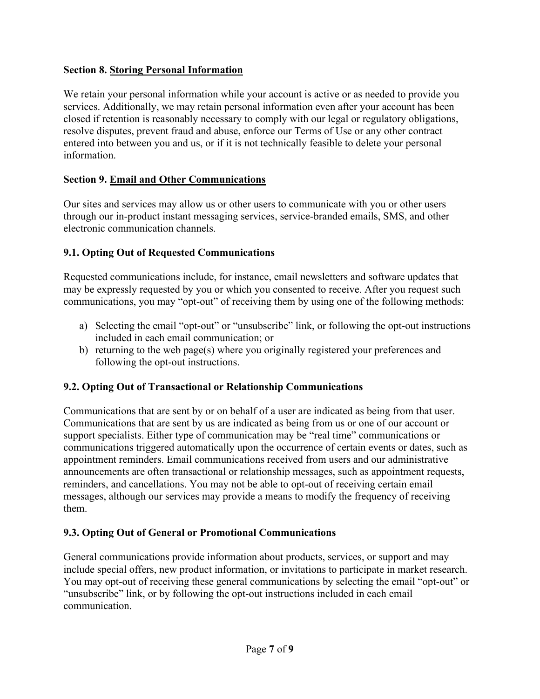#### **Section 8. Storing Personal Information**

We retain your personal information while your account is active or as needed to provide you services. Additionally, we may retain personal information even after your account has been closed if retention is reasonably necessary to comply with our legal or regulatory obligations, resolve disputes, prevent fraud and abuse, enforce our Terms of Use or any other contract entered into between you and us, or if it is not technically feasible to delete your personal information.

#### **Section 9. Email and Other Communications**

Our sites and services may allow us or other users to communicate with you or other users through our in-product instant messaging services, service-branded emails, SMS, and other electronic communication channels.

#### **9.1. Opting Out of Requested Communications**

Requested communications include, for instance, email newsletters and software updates that may be expressly requested by you or which you consented to receive. After you request such communications, you may "opt-out" of receiving them by using one of the following methods:

- a) Selecting the email "opt-out" or "unsubscribe" link, or following the opt-out instructions included in each email communication; or
- b) returning to the web page(s) where you originally registered your preferences and following the opt-out instructions.

#### **9.2. Opting Out of Transactional or Relationship Communications**

Communications that are sent by or on behalf of a user are indicated as being from that user. Communications that are sent by us are indicated as being from us or one of our account or support specialists. Either type of communication may be "real time" communications or communications triggered automatically upon the occurrence of certain events or dates, such as appointment reminders. Email communications received from users and our administrative announcements are often transactional or relationship messages, such as appointment requests, reminders, and cancellations. You may not be able to opt-out of receiving certain email messages, although our services may provide a means to modify the frequency of receiving them.

#### **9.3. Opting Out of General or Promotional Communications**

General communications provide information about products, services, or support and may include special offers, new product information, or invitations to participate in market research. You may opt-out of receiving these general communications by selecting the email "opt-out" or "unsubscribe" link, or by following the opt-out instructions included in each email communication.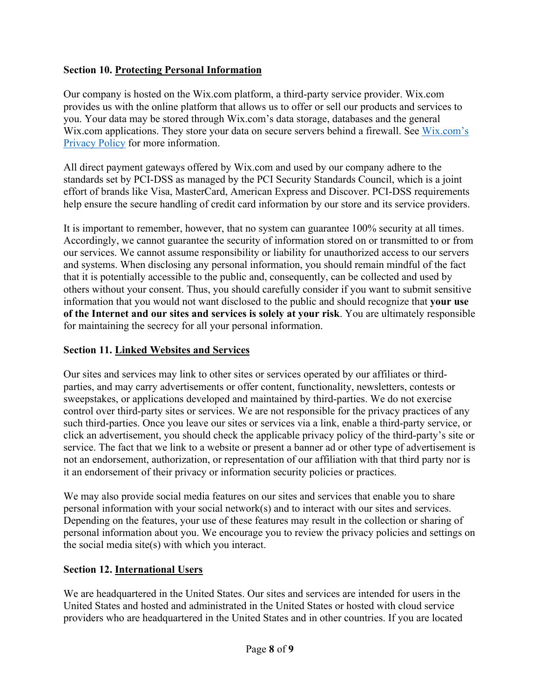#### **Section 10. Protecting Personal Information**

Our company is hosted on the Wix.com platform, a third-party service provider. Wix.com provides us with the online platform that allows us to offer or sell our products and services to you. Your data may be stored through Wix.com's data storage, databases and the general Wix.com applications. They store your data on secure servers behind a firewall. See Wix.com's Privacy Policy for more information.

All direct payment gateways offered by Wix.com and used by our company adhere to the standards set by PCI-DSS as managed by the PCI Security Standards Council, which is a joint effort of brands like Visa, MasterCard, American Express and Discover. PCI-DSS requirements help ensure the secure handling of credit card information by our store and its service providers.

It is important to remember, however, that no system can guarantee 100% security at all times. Accordingly, we cannot guarantee the security of information stored on or transmitted to or from our services. We cannot assume responsibility or liability for unauthorized access to our servers and systems. When disclosing any personal information, you should remain mindful of the fact that it is potentially accessible to the public and, consequently, can be collected and used by others without your consent. Thus, you should carefully consider if you want to submit sensitive information that you would not want disclosed to the public and should recognize that **your use of the Internet and our sites and services is solely at your risk**. You are ultimately responsible for maintaining the secrecy for all your personal information.

#### **Section 11. Linked Websites and Services**

Our sites and services may link to other sites or services operated by our affiliates or thirdparties, and may carry advertisements or offer content, functionality, newsletters, contests or sweepstakes, or applications developed and maintained by third-parties. We do not exercise control over third-party sites or services. We are not responsible for the privacy practices of any such third-parties. Once you leave our sites or services via a link, enable a third-party service, or click an advertisement, you should check the applicable privacy policy of the third-party's site or service. The fact that we link to a website or present a banner ad or other type of advertisement is not an endorsement, authorization, or representation of our affiliation with that third party nor is it an endorsement of their privacy or information security policies or practices.

We may also provide social media features on our sites and services that enable you to share personal information with your social network(s) and to interact with our sites and services. Depending on the features, your use of these features may result in the collection or sharing of personal information about you. We encourage you to review the privacy policies and settings on the social media site(s) with which you interact.

#### **Section 12. International Users**

We are headquartered in the United States. Our sites and services are intended for users in the United States and hosted and administrated in the United States or hosted with cloud service providers who are headquartered in the United States and in other countries. If you are located